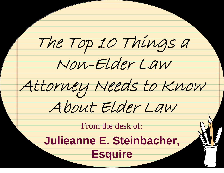The Top 10 Things a Non-Elder Law Attorney Needs to Know About Elder Law From the desk of: **Julieanne E. Steinbacher,** 

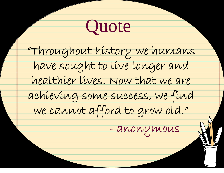### **Quote**

"Throughout history we humans have sought to live longer and healthier lives. Now that we are achieving some success, we find we cannot afford to grow old."

- anonymous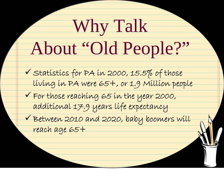# Why Talk About "Old People?"

√ Statistics for PA in 2000, 15.5% of those living in PA were 65+, or 1.9 Million people

 $\checkmark$  For those reaching 65 in the year 2000, additional 17.9 years life expectancy

 $\checkmark$  Between 2010 and 2020, baby boomers will reach age 65+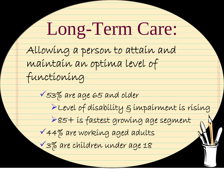# Long-Term Care:

Allowing a person to attain and

maintain an optima level of

functioning

 $\sqrt{53\%}$  are age 65 and older

<sup>¾</sup>Level of disability & impairment is rising

¾85+ is fastest growing age segment

<sup>9</sup>44% are working aged adults

<sup>9</sup>3% are children under age 18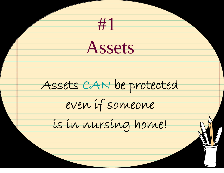Assets Assets CAN be protected even if someone is in nursing home! #1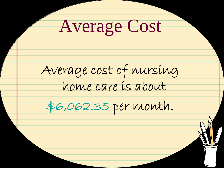Average Cost Average cost of nursing home care is about \$6,062.35 per month.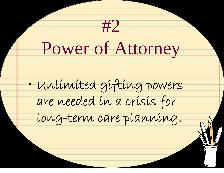#2 Power of Attorney  $\bullet$ • Unlimited gifting powers are needed in a crisis for long-term care planning.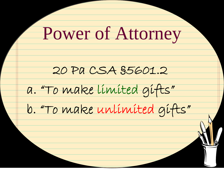Power of Attorney 20 Pa CSA §5601.2 a. "To make limited gifts" b. "To make unlimited gifts"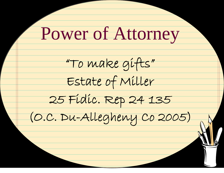Power of Attorney

"To make gifts"

Estate of Miller



(O.C. Du-Allegheny Co 2005)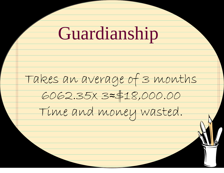#### Guardianship

Takes an average of 3 months 6062.35x 3 <sup>≈</sup>\$18,000.00 Time and money wasted.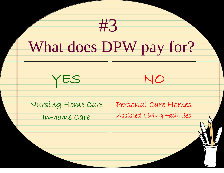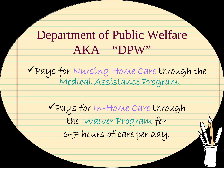#### Department of Public Welfare AKA – "DPW"

<sup>9</sup>Pays for Nursing Home Care through the Medical Assistance Program.

<sup>9</sup>Pays for In-Home Care through the Waiver Program for 6-7 hours of care per day.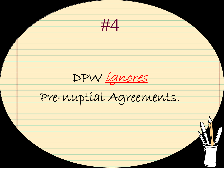#4 DPW ignores Pre-nuptial Agreements.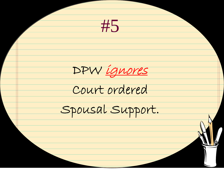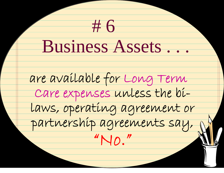Business Assets . . . are available for Long Term Care expenses unless the bilaws, operating agreement or partnership agreements say, "No." # 6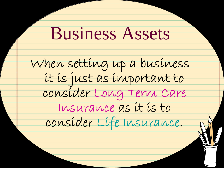#### Business Assets

When setting up a business<br>it is just as important to consider Long Term Care Insurance as it is to consider Life Insurance.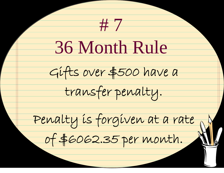# 7 36 Month Rule Gifts over \$500 have a transfer penalty. Penalty is forgiven at a rate of \$6062.35 per month.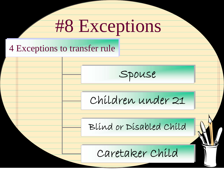# #8 Exceptions

#### 4 Exceptions to transfer rule 4 Exceptions to transfer rule

Spouse

Children under 21

Blind or Disabled Child

Caretaker Child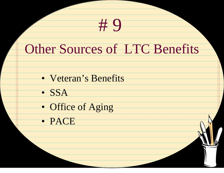#### Other Sources of LTC Benefits

# 9

- Veteran's Benefits
- SSA
- Office of Aging
- PACE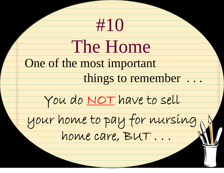| #10                          |
|------------------------------|
| The Home                     |
| One of the most important    |
| things to remember           |
| You do NOT have to sell      |
| your home to pay for nursing |
|                              |
|                              |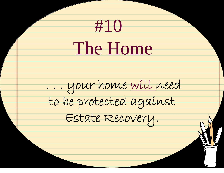# #10 . . . your home will need to be protected against Estate Recovery. The Home